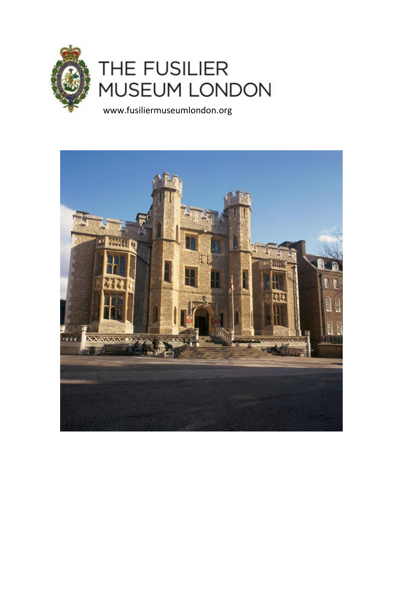

# THE FUSILIER **MUSEUM LONDON**

www.fusiliermuseumlondon.org

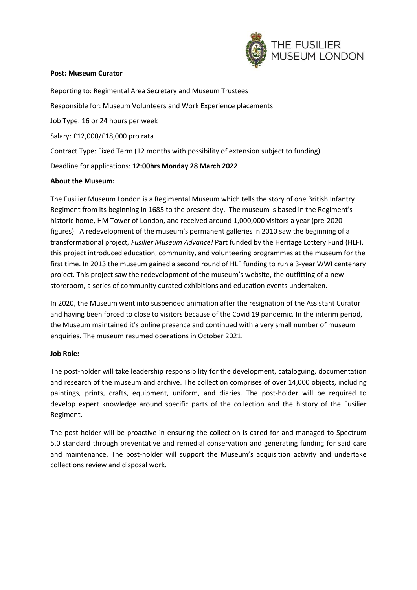

## **Post: Museum Curator**

Reporting to: Regimental Area Secretary and Museum Trustees Responsible for: Museum Volunteers and Work Experience placements Job Type: 16 or 24 hours per week Salary: £12,000/£18,000 pro rata Contract Type: Fixed Term (12 months with possibility of extension subject to funding) Deadline for applications: **12:00hrs Monday 28 March 2022**

## **About the Museum:**

The Fusilier Museum London is a Regimental Museum which tells the story of one British Infantry Regiment from its beginning in 1685 to the present day. The museum is based in the Regiment's historic home, HM Tower of London, and received around 1,000,000 visitors a year (pre-2020 figures). A redevelopment of the museum's permanent galleries in 2010 saw the beginning of a transformational project*, Fusilier Museum Advance!* Part funded by the Heritage Lottery Fund (HLF), this project introduced education, community, and volunteering programmes at the museum for the first time. In 2013 the museum gained a second round of HLF funding to run a 3-year WWI centenary project. This project saw the redevelopment of the museum's website, the outfitting of a new storeroom, a series of community curated exhibitions and education events undertaken.

In 2020, the Museum went into suspended animation after the resignation of the Assistant Curator and having been forced to close to visitors because of the Covid 19 pandemic. In the interim period, the Museum maintained it's online presence and continued with a very small number of museum enquiries. The museum resumed operations in October 2021.

## **Job Role:**

The post-holder will take leadership responsibility for the development, cataloguing, documentation and research of the museum and archive. The collection comprises of over 14,000 objects, including paintings, prints, crafts, equipment, uniform, and diaries. The post-holder will be required to develop expert knowledge around specific parts of the collection and the history of the Fusilier Regiment.

The post-holder will be proactive in ensuring the collection is cared for and managed to Spectrum 5.0 standard through preventative and remedial conservation and generating funding for said care and maintenance. The post-holder will support the Museum's acquisition activity and undertake collections review and disposal work.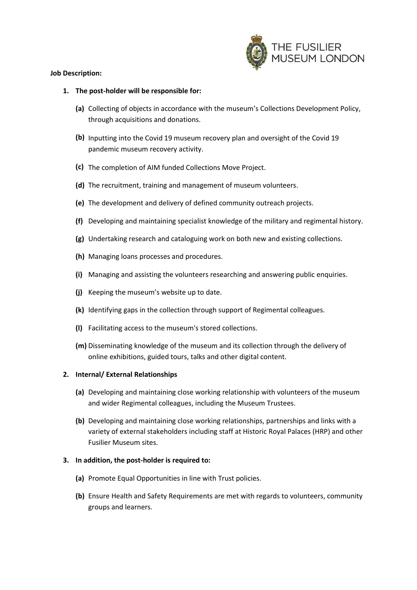

## **Job Description:**

## **1. The post-holder will be responsible for:**

- **(a)** Collecting of objects in accordance with the museum's Collections Development Policy, through acquisitions and donations.
- **(b)** Inputting into the Covid 19 museum recovery plan and oversight of the Covid 19 pandemic museum recovery activity.
- **(c)** The completion of AIM funded Collections Move Project.
- **(d)** The recruitment, training and management of museum volunteers.
- **(e)** The development and delivery of defined community outreach projects.
- **(f)** Developing and maintaining specialist knowledge of the military and regimental history.
- **(g)** Undertaking research and cataloguing work on both new and existing collections.
- **(h)** Managing loans processes and procedures.
- **(i)** Managing and assisting the volunteers researching and answering public enquiries.
- **(j)** Keeping the museum's website up to date.
- **(k)** Identifying gaps in the collection through support of Regimental colleagues.
- **(l)** Facilitating access to the museum's stored collections.
- **(m)** Disseminating knowledge of the museum and its collection through the delivery of online exhibitions, guided tours, talks and other digital content.

## **2. Internal/ External Relationships**

- **(a)** Developing and maintaining close working relationship with volunteers of the museum and wider Regimental colleagues, including the Museum Trustees.
- **(b)** Developing and maintaining close working relationships, partnerships and links with a variety of external stakeholders including staff at Historic Royal Palaces (HRP) and other Fusilier Museum sites.

## **3. In addition, the post-holder is required to:**

- **(a)** Promote Equal Opportunities in line with Trust policies.
- **(b)** Ensure Health and Safety Requirements are met with regards to volunteers, community groups and learners.